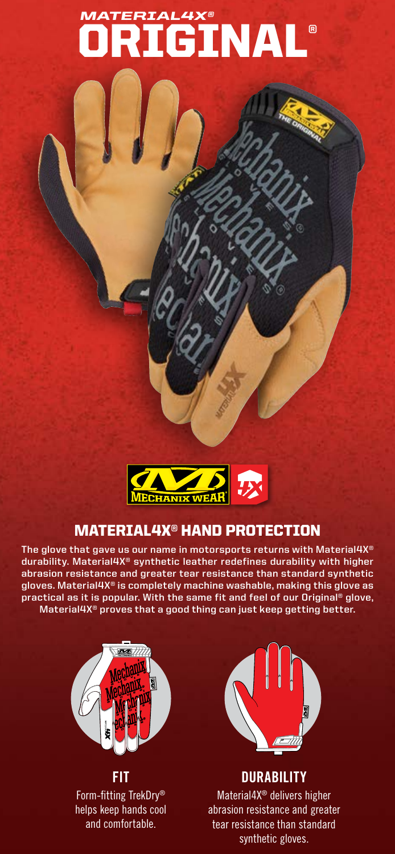# **ORIGINAL®**



### MATERIAL4X® HAND PROTECTION

**The glove that gave us our name in motorsports returns with Material4X® durability. Material4X® synthetic leather redefines durability with higher abrasion resistance and greater tear resistance than standard synthetic gloves. Material4X® is completely machine washable, making this glove as practical as it is popular. With the same fit and feel of our Original® glove, Material4X® proves that a good thing can just keep getting better.**



**FIT** Form-fitting TrekDry® helps keep hands cool and comfortable.



**DURABILITY**

Material4X® delivers higher abrasion resistance and greater tear resistance than standard synthetic gloves.